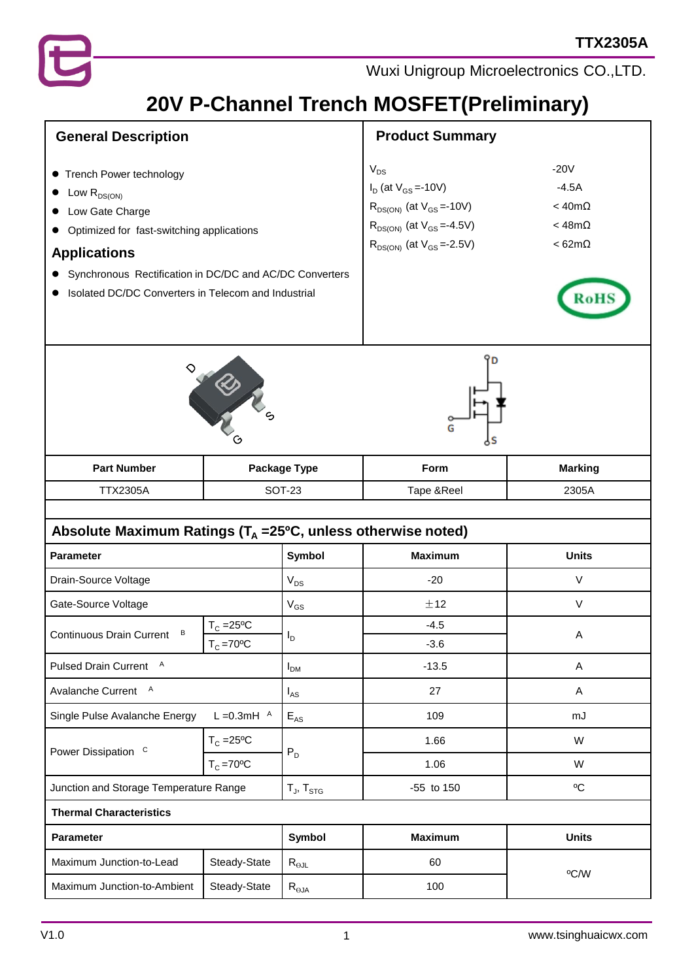

## **20V P-Channel Trench MOSFET(Preliminary)**

| <b>General Description</b>                                                                                                                                                                                                                                        |                                | <b>Product Summary</b>                                                                                                                                      |                                                                            |                |  |  |
|-------------------------------------------------------------------------------------------------------------------------------------------------------------------------------------------------------------------------------------------------------------------|--------------------------------|-------------------------------------------------------------------------------------------------------------------------------------------------------------|----------------------------------------------------------------------------|----------------|--|--|
| Trench Power technology<br>$\bullet$<br>Low $R_{DS(ON)}$<br>Low Gate Charge<br>Optimized for fast-switching applications<br><b>Applications</b><br>Synchronous Rectification in DC/DC and AC/DC Converters<br>Isolated DC/DC Converters in Telecom and Industrial |                                | $V_{DS}$<br>$I_D$ (at $V_{GS} = -10V$ )<br>$R_{DS(ON)}$ (at $V_{GS} = -10V$ )<br>$R_{DS(ON)}$ (at $V_{GS} = -4.5V$ )<br>$R_{DS(ON)}$ (at $V_{GS} = -2.5V$ ) | $-20V$<br>$-4.5A$<br>$<$ 40m $\Omega$<br>$<$ 48m $\Omega$<br>$< 62m\Omega$ |                |  |  |
|                                                                                                                                                                                                                                                                   | RD N S                         |                                                                                                                                                             |                                                                            |                |  |  |
| <b>Part Number</b>                                                                                                                                                                                                                                                |                                | Package Type                                                                                                                                                | Form                                                                       | <b>Marking</b> |  |  |
| <b>TTX2305A</b>                                                                                                                                                                                                                                                   | <b>SOT-23</b>                  |                                                                                                                                                             | Tape &Reel                                                                 | 2305A          |  |  |
| Absolute Maximum Ratings ( $T_A = 25^{\circ}C$ , unless otherwise noted)                                                                                                                                                                                          |                                |                                                                                                                                                             |                                                                            |                |  |  |
| <b>Parameter</b>                                                                                                                                                                                                                                                  |                                | <b>Symbol</b>                                                                                                                                               | <b>Maximum</b>                                                             | <b>Units</b>   |  |  |
| Drain-Source Voltage                                                                                                                                                                                                                                              |                                | $V_{DS}$                                                                                                                                                    | $-20$                                                                      | V              |  |  |
| Gate-Source Voltage                                                                                                                                                                                                                                               |                                | $V_{GS}$                                                                                                                                                    | ±12                                                                        | V              |  |  |
| в<br>Continuous Drain Current                                                                                                                                                                                                                                     | $T_c = 25$ °C<br>$T_{C}$ =70°C | I <sub>D</sub>                                                                                                                                              | $-4.5$<br>$-3.6$                                                           | A              |  |  |
| Pulsed Drain Current A                                                                                                                                                                                                                                            |                                | $I_{DM}$                                                                                                                                                    | $-13.5$                                                                    | Α              |  |  |
| Avalanche Current A                                                                                                                                                                                                                                               |                                | $I_{AS}$                                                                                                                                                    | 27                                                                         | A              |  |  |
| $L = 0.3$ mH $A$<br>Single Pulse Avalanche Energy                                                                                                                                                                                                                 |                                | $E_{AS}$                                                                                                                                                    | 109                                                                        | mJ             |  |  |
| Power Dissipation C                                                                                                                                                                                                                                               | $T_c = 25$ °C                  |                                                                                                                                                             | 1.66                                                                       | W              |  |  |
|                                                                                                                                                                                                                                                                   | $T_c = 70^{\circ}C$            | $P_D$                                                                                                                                                       | 1.06                                                                       | W              |  |  |
| Junction and Storage Temperature Range                                                                                                                                                                                                                            |                                | $T_J$ , $T_{STG}$                                                                                                                                           | -55 to 150                                                                 | °C             |  |  |
| <b>Thermal Characteristics</b>                                                                                                                                                                                                                                    |                                |                                                                                                                                                             |                                                                            |                |  |  |
| Parameter                                                                                                                                                                                                                                                         |                                | Symbol                                                                                                                                                      | <b>Maximum</b>                                                             | <b>Units</b>   |  |  |
| Maximum Junction-to-Lead                                                                                                                                                                                                                                          | Steady-State                   | $R_{\Theta JL}$                                                                                                                                             | 60                                                                         |                |  |  |
| Maximum Junction-to-Ambient                                                                                                                                                                                                                                       | Steady-State                   | $R_{\theta JA}$                                                                                                                                             | °C/W<br>100                                                                |                |  |  |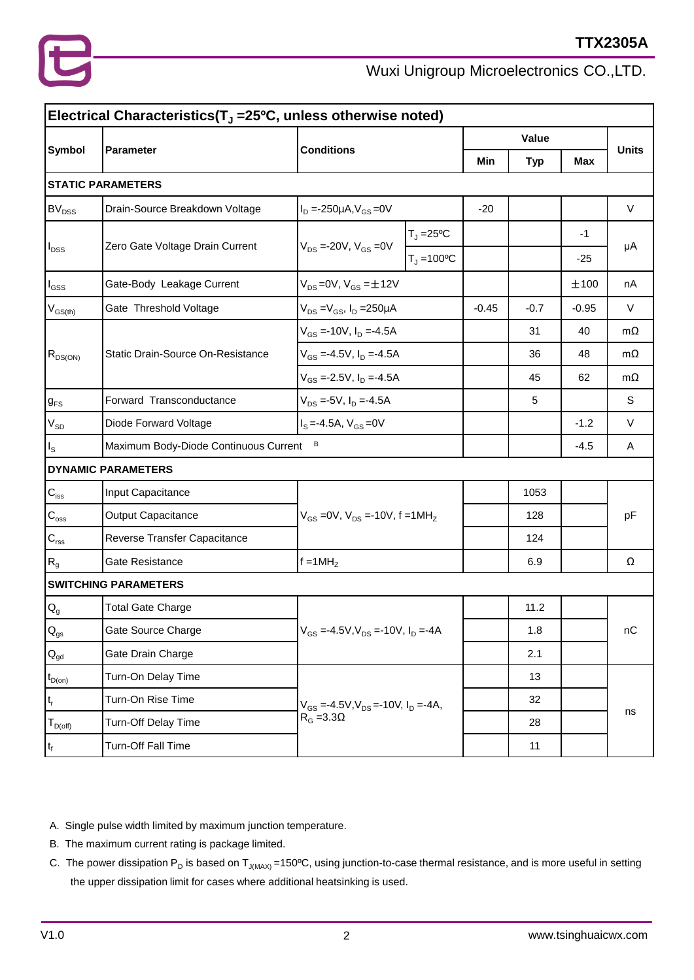

| Electrical Characteristics(T <sub>J</sub> =25ºC, unless otherwise noted) |                                       |                                                                  |                                    |       |        |            |              |  |
|--------------------------------------------------------------------------|---------------------------------------|------------------------------------------------------------------|------------------------------------|-------|--------|------------|--------------|--|
| <b>Symbol</b>                                                            |                                       | <b>Conditions</b>                                                |                                    | Value |        |            |              |  |
|                                                                          | <b>Parameter</b>                      |                                                                  |                                    | Min   | Typ    | <b>Max</b> | <b>Units</b> |  |
|                                                                          | <b>STATIC PARAMETERS</b>              |                                                                  |                                    |       |        |            |              |  |
| <b>BV<sub>DSS</sub></b>                                                  | Drain-Source Breakdown Voltage        | $I_D = -250 \mu A, V_{GS} = 0V$                                  |                                    | $-20$ |        |            | $\vee$       |  |
| $\sf  I_{\rm DSS} $                                                      |                                       | $V_{DS} = -20V, V_{GS} = 0V$                                     | $T_J = 25^{\circ}C$                |       |        | $-1$       | μA           |  |
|                                                                          | Zero Gate Voltage Drain Current       |                                                                  | $T_1 = 100^{\circ}C$               |       |        | -25        |              |  |
| $\sf{I}_{\tiny \textsf{GSS}}$                                            | Gate-Body Leakage Current             |                                                                  | $V_{DS} = 0V$ , $V_{GS} = \pm 12V$ |       |        | ±100       | nA           |  |
| $ V_{GS(th)} $                                                           | Gate Threshold Voltage                | $V_{DS} = V_{GS}$ , $I_D = 250 \mu A$                            |                                    |       | $-0.7$ | $-0.95$    | V            |  |
|                                                                          |                                       | $V_{GS} = -10V$ , $I_D = -4.5A$                                  |                                    |       | 31     | 40         | $m\Omega$    |  |
| $R_{DS(ON)}$                                                             | Static Drain-Source On-Resistance     |                                                                  | $V_{GS} = -4.5V, I_D = -4.5A$      |       | 36     | 48         | $m\Omega$    |  |
|                                                                          |                                       | $V_{GS} = -2.5V, I_D = -4.5A$                                    |                                    |       | 45     | 62         | $m\Omega$    |  |
| $g_{FS}$                                                                 | Forward Transconductance              | $V_{DS}$ =-5V, $I_D$ =-4.5A                                      |                                    |       | 5      |            | S            |  |
| V <sub>SD</sub>                                                          | Diode Forward Voltage                 | $I_S = -4.5A, V_{GS} = 0V$                                       |                                    |       |        | $-1.2$     | V            |  |
| $\vert$ <sub>s</sub>                                                     | Maximum Body-Diode Continuous Current | В                                                                |                                    |       |        | $-4.5$     | Α            |  |
|                                                                          | <b>DYNAMIC PARAMETERS</b>             |                                                                  |                                    |       |        |            |              |  |
| $\mathsf{C}_{\mathsf{iss}}$                                              | Input Capacitance                     | $V_{GS}$ = 0V, $V_{DS}$ = -10V, f = 1MH <sub>z</sub>             |                                    |       | 1053   |            | pF           |  |
| $ C_{\rm{oss}} $                                                         | Output Capacitance                    |                                                                  |                                    |       | 128    |            |              |  |
| $\mathsf{C}_{\mathsf{rss}}$                                              | Reverse Transfer Capacitance          |                                                                  |                                    |       | 124    |            |              |  |
| $ R_{g}$                                                                 | Gate Resistance                       | $f = 1MHZ$                                                       |                                    |       | 6.9    |            | Ω            |  |
|                                                                          | <b>SWITCHING PARAMETERS</b>           |                                                                  |                                    |       |        |            |              |  |
| $  \mathsf{Q}_{\mathsf{g}}  $                                            | <b>Total Gate Charge</b>              | $V_{GS} = -4.5V, V_{DS} = -10V, I_D = -4A$                       |                                    |       | 11.2   |            | nC           |  |
| $\vert \mathsf{Q}_{\mathsf{gs}}$                                         | Gate Source Charge                    |                                                                  |                                    |       | 1.8    |            |              |  |
| $\mathsf{Q}_{\mathsf{gd}}$                                               | Gate Drain Charge                     |                                                                  |                                    |       | 2.1    |            |              |  |
| $t_{D(0n)}$                                                              | Turn-On Delay Time                    | $V_{GS} = -4.5V, V_{DS} = -10V, I_D = -4A,$<br>$R_G = 3.3\Omega$ |                                    |       | 13     |            | ns           |  |
| $ t_r $                                                                  | Turn-On Rise Time                     |                                                                  |                                    |       | 32     |            |              |  |
| $T_{D(off)}$                                                             | Turn-Off Delay Time                   |                                                                  |                                    |       | 28     |            |              |  |
| $ t_{\text{f}} $                                                         | Turn-Off Fall Time                    |                                                                  |                                    |       | 11     |            |              |  |

A. Single pulse width limited by maximum junction temperature.

- B. The maximum current rating is package limited.
- C. The power dissipation  $P_D$  is based on  $T_{J(MAX)} = 150^{\circ}$ C, using junction-to-case thermal resistance, and is more useful in setting the upper dissipation limit for cases where additional heatsinking is used.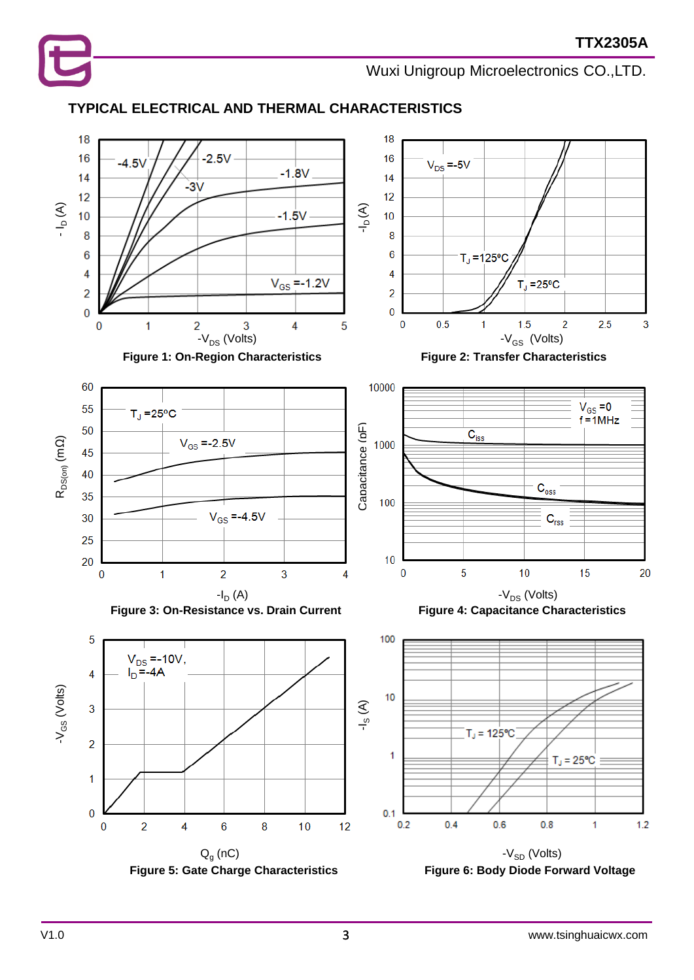

## **TYPICAL ELECTRICAL AND THERMAL CHARACTERISTICS**

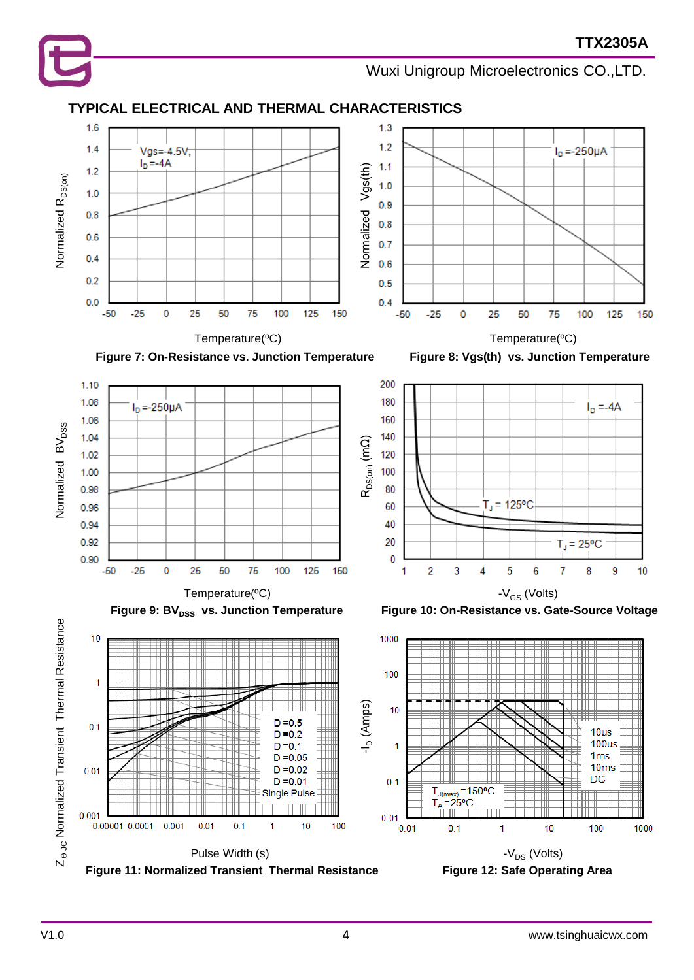

## **TYPICAL ELECTRICAL AND THERMAL CHARACTERISTICS**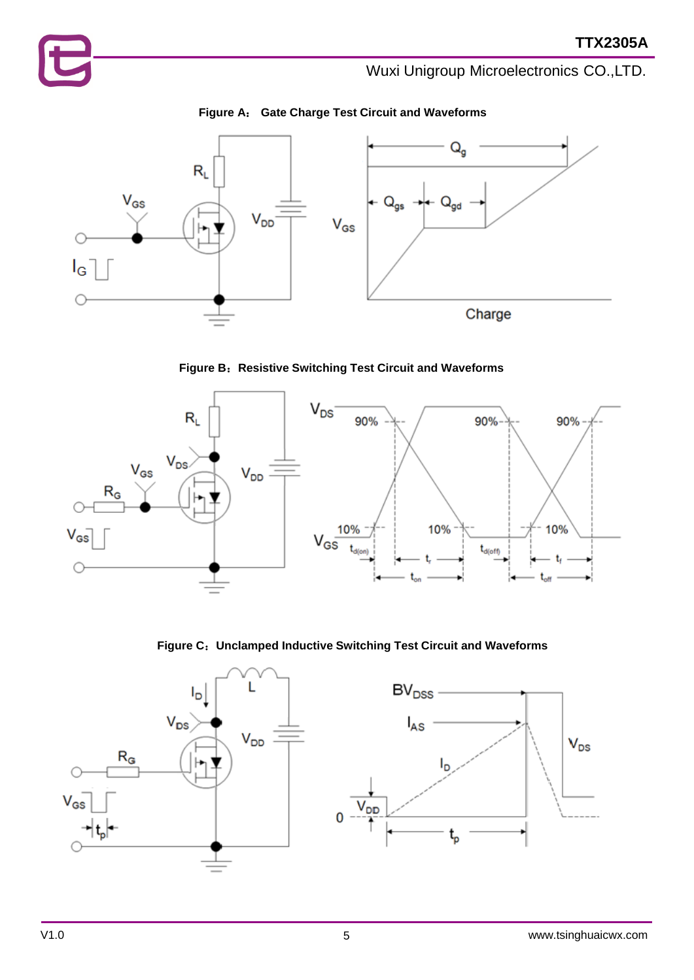







**Figure C**:**Unclamped Inductive Switching Test Circuit and Waveforms**

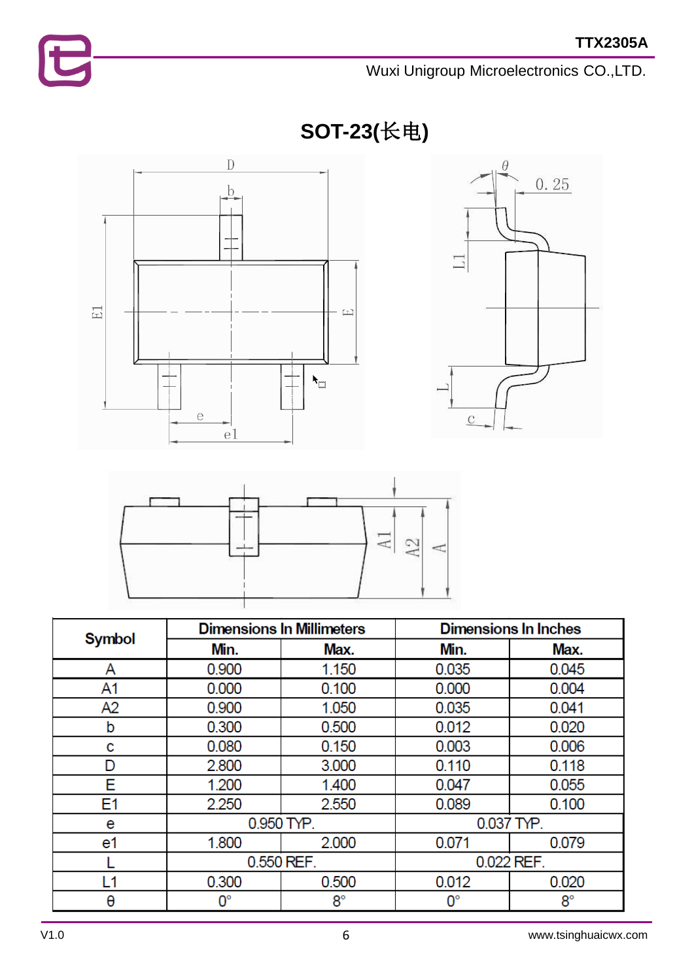**SOT-23(**长电**)**







|        |             | <b>Dimensions In Millimeters</b> | <b>Dimensions In Inches</b> |             |  |
|--------|-------------|----------------------------------|-----------------------------|-------------|--|
| Symbol | Min.        | Max.                             | Min.                        | Max.        |  |
| A      | 0.900       | 1.150                            | 0.035                       | 0.045       |  |
| A1     | 0.000       | 0.100                            | 0.000                       | 0.004       |  |
| A2     | 0.900       | 1.050                            | 0.035                       | 0.041       |  |
| b      | 0.300       | 0.500                            | 0.012                       | 0.020       |  |
| с      | 0.080       | 0.150                            | 0.003                       | 0.006       |  |
| D      | 2.800       | 3.000                            | 0.110                       | 0.118       |  |
| E      | 1.200       | 1.400                            | 0.047                       | 0.055       |  |
| E1     | 2.250       | 2.550                            | 0.089                       | 0.100       |  |
| e      | 0.950 TYP.  |                                  | 0.037 TYP.                  |             |  |
| e1     | 1.800       | 2.000                            | 0.071                       | 0.079       |  |
|        | 0.550 REF.  |                                  | 0.022 REF.                  |             |  |
| L1     | 0.300       | 0.500                            | 0.012                       | 0.020       |  |
| θ      | $0^{\circ}$ | $8^{\circ}$                      | $0^{\circ}$                 | $8^{\circ}$ |  |

E